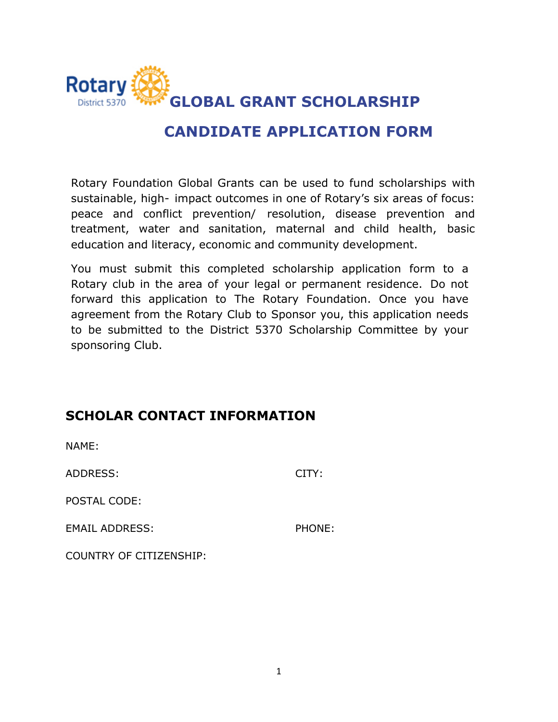

# **CANDIDATE APPLICATION FORM**

Rotary Foundation Global Grants can be used to fund scholarships with sustainable, high- impact outcomes in one of Rotary's six areas of focus: peace and conflict prevention/ resolution, disease prevention and treatment, water and sanitation, maternal and child health, basic education and literacy, economic and community development.

You must submit this completed scholarship application form to a Rotary club in the area of your legal or permanent residence. Do not forward this application to The Rotary Foundation. Once you have agreement from the Rotary Club to Sponsor you, this application needs to be submitted to the District 5370 Scholarship Committee by your sponsoring Club.

### **SCHOLAR CONTACT INFORMATION**

NAME: ADDRESS: CITY: POSTAL CODE: EMAIL ADDRESS: PHONE: COUNTRY OF CITIZENSHIP: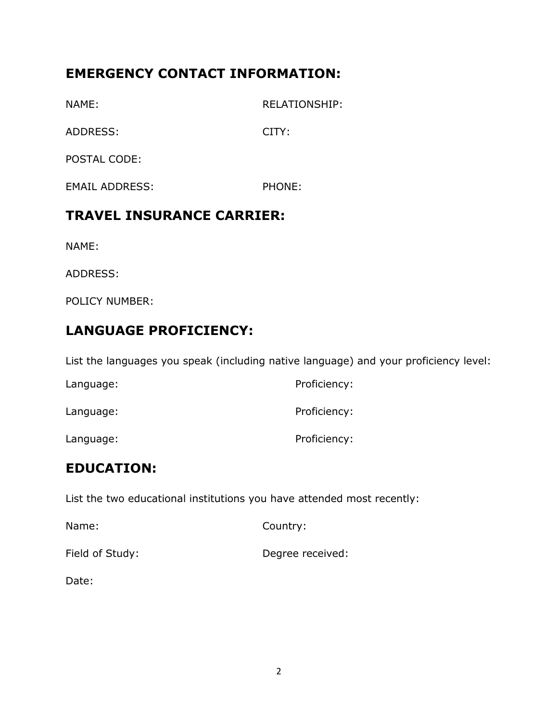## **EMERGENCY CONTACT INFORMATION:**

NAME: RELATIONSHIP:

ADDRESS: CITY:

POSTAL CODE:

EMAIL ADDRESS: PHONE:

## **TRAVEL INSURANCE CARRIER:**

NAME:

ADDRESS:

POLICY NUMBER:

# **LANGUAGE PROFICIENCY:**

List the languages you speak (including native language) and your proficiency level:

| Language: | Proficiency: |
|-----------|--------------|
| Language: | Proficiency: |
| Language: | Proficiency: |

## **EDUCATION:**

List the two educational institutions you have attended most recently:

| Name:           | Country:         |
|-----------------|------------------|
| Field of Study: | Degree received: |

Date: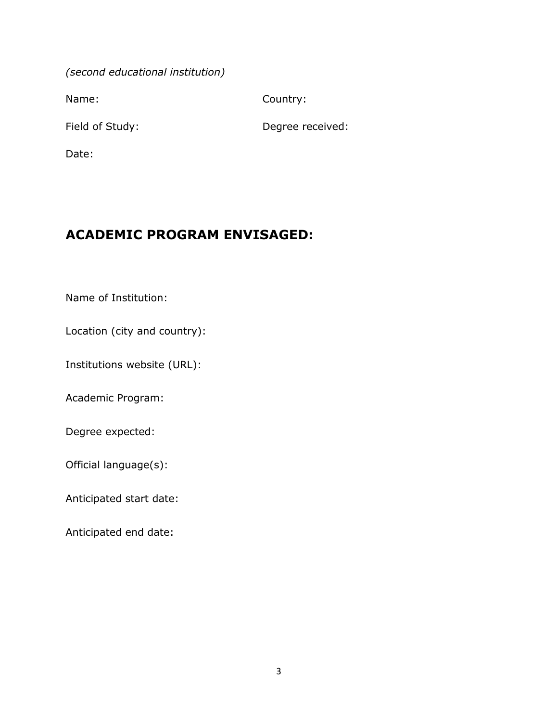*(second educational institution)* 

Name: Country:

Field of Study: Degree received:

Date:

### **ACADEMIC PROGRAM ENVISAGED:**

Name of Institution:

Location (city and country):

Institutions website (URL):

Academic Program:

Degree expected:

Official language(s):

Anticipated start date:

Anticipated end date: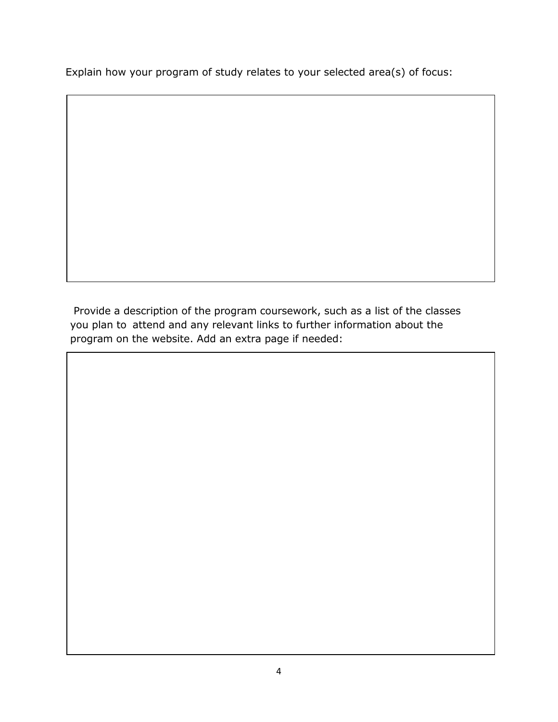Explain how your program of study relates to your selected area(s) of focus:

Provide a description of the program coursework, such as a list of the classes you plan to attend and any relevant links to further information about the program on the website. Add an extra page if needed: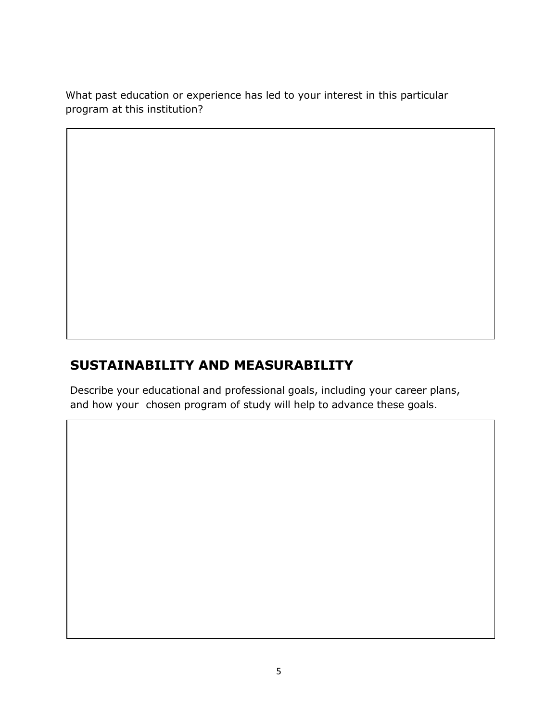What past education or experience has led to your interest in this particular program at this institution?

# **SUSTAINABILITY AND MEASURABILITY**

Describe your educational and professional goals, including your career plans, and how your chosen program of study will help to advance these goals.